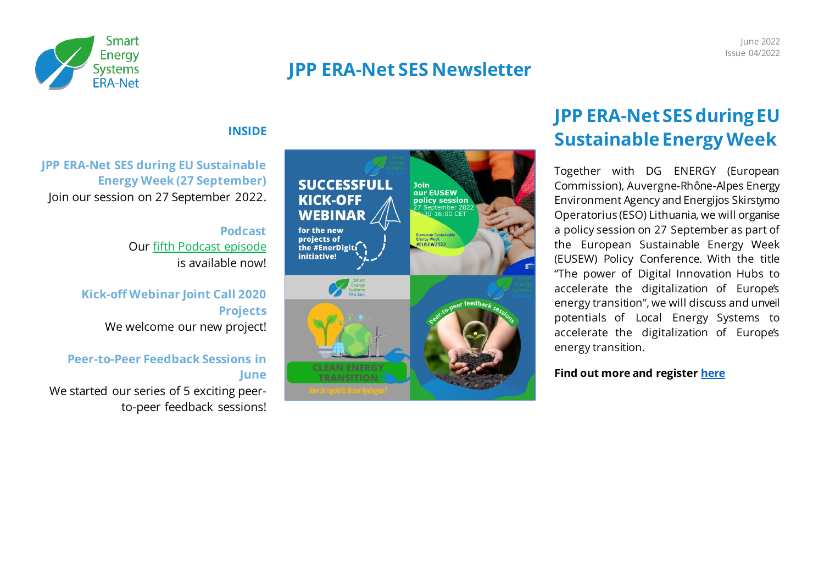

### **JPP ERA-Net SES Newsletter**

#### **INSIDE**

**JPP ERA-Net SES during EU Sustainable Energy Week (27 September)** Join our session on 27 September 2022.

> **Podcast** Ou[r fifth Podcast episode](https://open.spotify.com/episode/74QXrMxy9KR8qfDaa7fnch?si=-fk0VRixTSi_hL0fkulRYQ) is available now!

### **Kick-off Webinar Joint Call 2020 Projects** We welcome our new project!

#### **Peer-to-Peer Feedback Sessions in June**

We started our series of 5 exciting peerto-peer feedback sessions!



# **JPP ERA-Net SES during EU Sustainable Energy Week**

Together with DG ENERGY (European Commission), Auvergne-Rhône-Alpes Energy Environment Agency and Energijos Skirstymo Operatorius (ESO) Lithuania, we will organise a policy session on 27 September as part of the European Sustainable Energy Week (EUSEW) Policy Conference. With the title "The power of Digital Innovation Hubs to accelerate the digitalization of Europe's energy transition", we will discuss and unveil potentials of Local Energy Systems to accelerate the digitalization of Europe's energy transition.

#### **Find out more and register [here](https://www.eranet-smartenergysystems.eu/Event/87/EUSEW-policy-session-on-digitalization-of-Europe%E2%80%99s-energy-transition.html)**

June 2022 Issue 04/2022